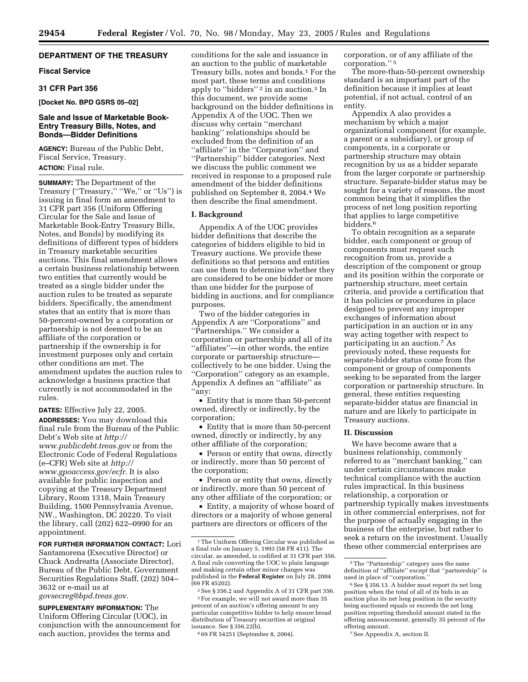# **DEPARTMENT OF THE TREASURY**

## **Fiscal Service**

# **31 CFR Part 356**

#### **[Docket No. BPD GSRS 05–02]**

## **Sale and Issue of Marketable Book-Entry Treasury Bills, Notes, and Bonds—Bidder Definitions**

**AGENCY:** Bureau of the Public Debt, Fiscal Service, Treasury. **ACTION:** Final rule.

**SUMMARY:** The Department of the Treasury ("Treasury," "We," or "Us") is issuing in final form an amendment to 31 CFR part 356 (Uniform Offering Circular for the Sale and Issue of Marketable Book-Entry Treasury Bills, Notes, and Bonds) by modifying its definitions of different types of bidders in Treasury marketable securities auctions. This final amendment allows a certain business relationship between two entities that currently would be treated as a single bidder under the auction rules to be treated as separate bidders. Specifically, the amendment states that an entity that is more than 50-percent-owned by a corporation or partnership is not deemed to be an affiliate of the corporation or partnership if the ownership is for investment purposes only and certain other conditions are met. The amendment updates the auction rules to acknowledge a business practice that currently is not accommodated in the rules.

**DATES:** Effective July 22, 2005.

**ADDRESSES:** You may download this final rule from the Bureau of the Public Debt's Web site at *http:// [www.publicdebt.treas.gov](http://www.publicdebt.treas.gov)* or from the Electronic Code of Federal Regulations (e–CFR) Web site at *http:// [www.gpoaccess.gov/ecfr.](http://www.gpoaccess.gov/ecfr)* It is also available for public inspection and copying at the Treasury Department Library, Room 1318, Main Treasury Building, 1500 Pennsylvania Avenue, NW., Washington, DC 20220. To visit the library, call (202) 622–0990 for an appointment.

**FOR FURTHER INFORMATION CONTACT:** Lori Santamorena (Executive Director) or Chuck Andreatta (Associate Director), Bureau of the Public Debt, Government Securities Regulations Staff, (202) 504– 3632 or e-mail us at *[govsecreg@bpd.treas.gov.](mailto:govsecreg@bpd.treas.gov)*

**SUPPLEMENTARY INFORMATION:** The Uniform Offering Circular (UOC), in conjunction with the announcement for each auction, provides the terms and

conditions for the sale and issuance in an auction to the public of marketable Treasury bills, notes and bonds.1 For the most part, these terms and conditions apply to "bidders"<sup>2</sup> in an auction.<sup>3</sup> In this document, we provide some background on the bidder definitions in Appendix A of the UOC. Then we discuss why certain ''merchant banking'' relationships should be excluded from the definition of an ''affiliate'' in the ''Corporation'' and ''Partnership'' bidder categories. Next we discuss the public comment we received in response to a proposed rule amendment of the bidder definitions published on September 8, 2004.4 We then describe the final amendment.

### **I. Background**

Appendix A of the UOC provides bidder definitions that describe the categories of bidders eligible to bid in Treasury auctions. We provide these definitions so that persons and entities can use them to determine whether they are considered to be one bidder or more than one bidder for the purpose of bidding in auctions, and for compliance purposes.

Two of the bidder categories in Appendix A are ''Corporations'' and ''Partnerships.'' We consider a corporation or partnership and all of its ''affiliates''—in other words, the entire corporate or partnership structure collectively to be one bidder. Using the ''Corporation'' category as an example, Appendix A defines an ''affiliate'' as ''any:

• Entity that is more than 50-percent owned, directly or indirectly, by the corporation;

• Entity that is more than 50-percent owned, directly or indirectly, by any other affiliate of the corporation;

• Person or entity that owns, directly or indirectly, more than 50 percent of the corporation;

• Person or entity that owns, directly or indirectly, more than 50 percent of any other affiliate of the corporation; or

• Entity, a majority of whose board of directors or a majority of whose general partners are directors or officers of the

4 69 FR 54251 (September 8, 2004).

corporation, or of any affiliate of the corporation.'' 5

The more-than-50-percent ownership standard is an important part of the definition because it implies at least potential, if not actual, control of an entity.

Appendix A also provides a mechanism by which a major organizational component (for example, a parent or a subsidiary), or group of components, in a corporate or partnership structure may obtain recognition by us as a bidder separate from the larger corporate or partnership structure. Separate-bidder status may be sought for a variety of reasons, the most common being that it simplifies the process of net long position reporting that applies to large competitive bidders.6

To obtain recognition as a separate bidder, each component or group of components must request such recognition from us, provide a description of the component or group and its position within the corporate or partnership structure, meet certain criteria, and provide a certification that it has policies or procedures in place designed to prevent any improper exchanges of information about participation in an auction or in any way acting together with respect to participating in an auction.7 As previously noted, these requests for separate-bidder status come from the component or group of components seeking to be separated from the larger corporation or partnership structure. In general, these entities requesting separate-bidder status are financial in nature and are likely to participate in Treasury auctions.

#### **II. Discussion**

We have become aware that a business relationship, commonly referred to as ''merchant banking,'' can under certain circumstances make technical compliance with the auction rules impractical. In this business relationship, a corporation or partnership typically makes investments in other commercial enterprises, not for the purpose of actually engaging in the business of the enterprise, but rather to seek a return on the investment. Usually these other commercial enterprises are

7See Appendix A, section II.

<sup>1</sup>The Uniform Offering Circular was published as a final rule on January 5, 1993 (58 FR 411). The circular, as amended, is codified at 31 CFR part 356. A final rule converting the UOC to plain language and making certain other minor changes was published in the **Federal Register** on July 28, 2004 (69 FR 45202).

 $^2\!\,$  See § 356.2 and Appendix A of 31 CFR part 356. 3For example, we will not award more than 35 percent of an auction's offering amount to any particular competitive bidder to help ensure broad distribution of Treasury securities at original issuance. See § 356.22(b).

<sup>&</sup>lt;sup>5</sup>The "Partnership" category uses the same definition of ''affiliate'' except that ''partnership'' is used in place of "corporation.

<sup>6</sup>See § 356.13. A bidder must report its net long position when the total of all of its bids in an auction plus its net long position in the security being auctioned equals or exceeds the net long position reporting threshold amount stated in the offering announcement, generally 35 percent of the offering amount.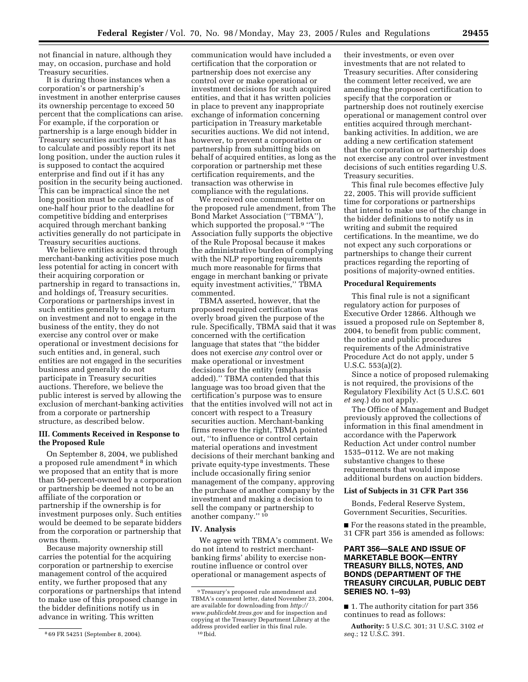not financial in nature, although they may, on occasion, purchase and hold Treasury securities.

It is during those instances when a corporation's or partnership's investment in another enterprise causes its ownership percentage to exceed 50 percent that the complications can arise. For example, if the corporation or partnership is a large enough bidder in Treasury securities auctions that it has to calculate and possibly report its net long position, under the auction rules it is supposed to contact the acquired enterprise and find out if it has any position in the security being auctioned. This can be impractical since the net long position must be calculated as of one-half hour prior to the deadline for competitive bidding and enterprises acquired through merchant banking activities generally do not participate in Treasury securities auctions.

We believe entities acquired through merchant-banking activities pose much less potential for acting in concert with their acquiring corporation or partnership in regard to transactions in, and holdings of, Treasury securities. Corporations or partnerships invest in such entities generally to seek a return on investment and not to engage in the business of the entity, they do not exercise any control over or make operational or investment decisions for such entities and, in general, such entities are not engaged in the securities business and generally do not participate in Treasury securities auctions. Therefore, we believe the public interest is served by allowing the exclusion of merchant-banking activities from a corporate or partnership structure, as described below.

## **III. Comments Received in Response to the Proposed Rule**

On September 8, 2004, we published a proposed rule amendment 8 in which we proposed that an entity that is more than 50-percent-owned by a corporation or partnership be deemed not to be an affiliate of the corporation or partnership if the ownership is for investment purposes only. Such entities would be deemed to be separate bidders from the corporation or partnership that owns them.

Because majority ownership still carries the potential for the acquiring corporation or partnership to exercise management control of the acquired entity, we further proposed that any corporations or partnerships that intend to make use of this proposed change in the bidder definitions notify us in advance in writing. This written

communication would have included a certification that the corporation or partnership does not exercise any control over or make operational or investment decisions for such acquired entities, and that it has written policies in place to prevent any inappropriate exchange of information concerning participation in Treasury marketable securities auctions. We did not intend, however, to prevent a corporation or partnership from submitting bids on behalf of acquired entities, as long as the corporation or partnership met these certification requirements, and the transaction was otherwise in compliance with the regulations.

We received one comment letter on the proposed rule amendment, from The Bond Market Association (''TBMA''), which supported the proposal.9 ''The Association fully supports the objective of the Rule Proposal because it makes the administrative burden of complying with the NLP reporting requirements much more reasonable for firms that engage in merchant banking or private equity investment activities,'' TBMA commented.

TBMA asserted, however, that the proposed required certification was overly broad given the purpose of the rule. Specifically, TBMA said that it was concerned with the certification language that states that ''the bidder does not exercise *any* control over or make operational or investment decisions for the entity (emphasis added).'' TBMA contended that this language was too broad given that the certification's purpose was to ensure that the entities involved will not act in concert with respect to a Treasury securities auction. Merchant-banking firms reserve the right, TBMA pointed out, ''to influence or control certain material operations and investment decisions of their merchant banking and private equity-type investments. These include occasionally firing senior management of the company, approving the purchase of another company by the investment and making a decision to sell the company or partnership to another company.'' 10

## **IV. Analysis**

We agree with TBMA's comment. We do not intend to restrict merchantbanking firms' ability to exercise nonroutine influence or control over operational or management aspects of

their investments, or even over investments that are not related to Treasury securities. After considering the comment letter received, we are amending the proposed certification to specify that the corporation or partnership does not routinely exercise operational or management control over entities acquired through merchantbanking activities. In addition, we are adding a new certification statement that the corporation or partnership does not exercise any control over investment decisions of such entities regarding U.S. Treasury securities.

This final rule becomes effective July 22, 2005. This will provide sufficient time for corporations or partnerships that intend to make use of the change in the bidder definitions to notify us in writing and submit the required certifications. In the meantime, we do not expect any such corporations or partnerships to change their current practices regarding the reporting of positions of majority-owned entities.

## **Procedural Requirements**

This final rule is not a significant regulatory action for purposes of Executive Order 12866. Although we issued a proposed rule on September 8, 2004, to benefit from public comment, the notice and public procedures requirements of the Administrative Procedure Act do not apply, under 5 U.S.C. 553(a)(2).

Since a notice of proposed rulemaking is not required, the provisions of the Regulatory Flexibility Act (5 U.S.C. 601 *et seq.*) do not apply.

The Office of Management and Budget previously approved the collections of information in this final amendment in accordance with the Paperwork Reduction Act under control number 1535–0112. We are not making substantive changes to these requirements that would impose additional burdens on auction bidders.

### **List of Subjects in 31 CFR Part 356**

Bonds, Federal Reserve System, Government Securities, Securities.

■ For the reasons stated in the preamble, 31 CFR part 356 is amended as follows:

# **PART 356—SALE AND ISSUE OF MARKETABLE BOOK—ENTRY TREASURY BILLS, NOTES, AND BONDS (DEPARTMENT OF THE TREASURY CIRCULAR, PUBLIC DEBT SERIES NO. 1–93)**

■ 1. The authority citation for part 356 continues to read as follows:

**Authority:** 5 U.S.C. 301; 31 U.S.C. 3102 *et seq.*; 12 U.S.C. 391.

<sup>8</sup> 69 FR 54251 (September 8, 2004).

<sup>9</sup>Treasury's proposed rule amendment and TBMA's comment letter, dated November 23, 2004, [are available for downloading from](http://www.publicdebt.treas.gov) *http:// www.publicdebt.treas.gov* and for inspection and copying at the Treasury Department Library at the address provided earlier in this final rule. 10 Ibid.